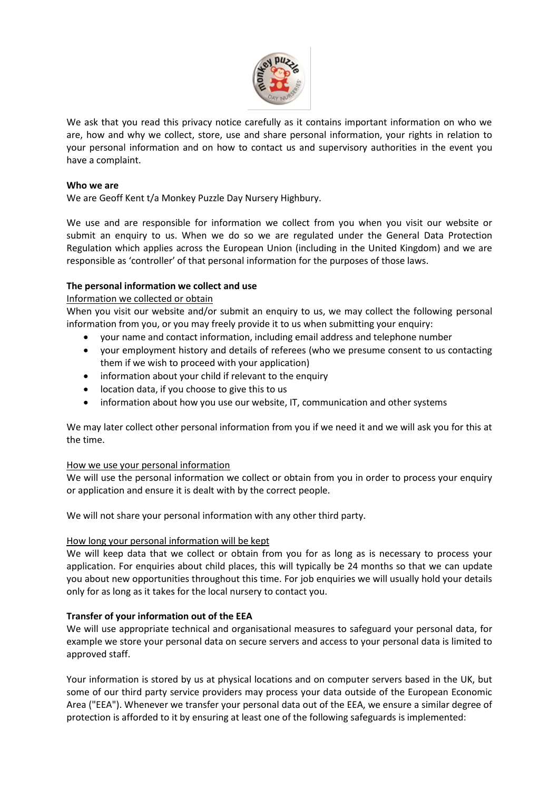

We ask that you read this privacy notice carefully as it contains important information on who we are, how and why we collect, store, use and share personal information, your rights in relation to your personal information and on how to contact us and supervisory authorities in the event you have a complaint.

### **Who we are**

We are Geoff Kent t/a Monkey Puzzle Day Nursery Highbury.

We use and are responsible for information we collect from you when you visit our website or submit an enquiry to us. When we do so we are regulated under the General Data Protection Regulation which applies across the European Union (including in the United Kingdom) and we are responsible as 'controller' of that personal information for the purposes of those laws.

### **The personal information we collect and use**

#### Information we collected or obtain

When you visit our website and/or submit an enquiry to us, we may collect the following personal information from you, or you may freely provide it to us when submitting your enquiry:

- your name and contact information, including email address and telephone number
- your employment history and details of referees (who we presume consent to us contacting them if we wish to proceed with your application)
- information about your child if relevant to the enquiry
- location data, if you choose to give this to us
- information about how you use our website, IT, communication and other systems

We may later collect other personal information from you if we need it and we will ask you for this at the time.

#### How we use your personal information

We will use the personal information we collect or obtain from you in order to process your enquiry or application and ensure it is dealt with by the correct people.

We will not share your personal information with any other third party.

#### How long your personal information will be kept

We will keep data that we collect or obtain from you for as long as is necessary to process your application. For enquiries about child places, this will typically be 24 months so that we can update you about new opportunities throughout this time. For job enquiries we will usually hold your details only for as long as it takes for the local nursery to contact you.

# **Transfer of your information out of the EEA**

We will use appropriate technical and organisational measures to safeguard your personal data, for example we store your personal data on secure servers and access to your personal data is limited to approved staff.

Your information is stored by us at physical locations and on computer servers based in the UK, but some of our third party service providers may process your data outside of the European Economic Area ("EEA"). Whenever we transfer your personal data out of the EEA, we ensure a similar degree of protection is afforded to it by ensuring at least one of the following safeguards is implemented: